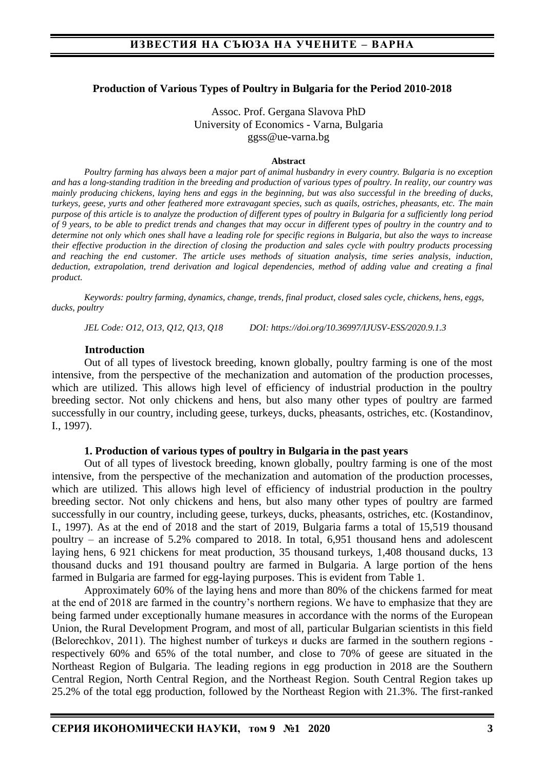#### **Production of Various Types of Poultry in Bulgaria for the Period 2010-2018**

Assoc. Prof. Gergana Slavova PhD University of Economics - Varna, Bulgaria ggss@ue-varna.bg

#### **Abstract**

*Poultry farming has always been a major part of animal husbandry in every country. Bulgaria is no exception and has a long-standing tradition in the breeding and production of various types of poultry. In reality, our country was mainly producing chickens, laying hens and eggs in the beginning, but was also successful in the breeding of ducks, turkeys, geese, yurts and other feathered more extravagant species, such as quails, ostriches, pheasants, etc. The main purpose of this article is to analyze the production of different types of poultry in Bulgaria for a sufficiently long period of 9 years, to be able to predict trends and changes that may occur in different types of poultry in the country and to determine not only which ones shall have a leading role for specific regions in Bulgaria, but also the ways to increase their effective production in the direction of closing the production and sales cycle with poultry products processing and reaching the end customer. The article uses methods of situation analysis, time series analysis, induction, deduction, extrapolation, trend derivation and logical dependencies, method of adding value and creating a final product.*

*Keywords: poultry farming, dynamics, change, trends, final product, closed sales cycle, chickens, hens, eggs, ducks, poultry*

*JEL Code: O12, O13, Q12, Q13, Q18 DOI: https://doi.org/10.36997/IJUSV-ESS/2020.9.1.3*

#### **Introduction**

Out of all types of livestock breeding, known globally, poultry farming is one of the most intensive, from the perspective of the mechanization and automation of the production processes, which are utilized. This allows high level of efficiency of industrial production in the poultry breeding sector. Not only chickens and hens, but also many other types of poultry are farmed successfully in our country, including geese, turkeys, ducks, pheasants, ostriches, etc. (Kostandinov, I., 1997).

#### **1. Production of various types of poultry in Bulgaria in the past years**

Out of all types of livestock breeding, known globally, poultry farming is one of the most intensive, from the perspective of the mechanization and automation of the production processes, which are utilized. This allows high level of efficiency of industrial production in the poultry breeding sector. Not only chickens and hens, but also many other types of poultry are farmed successfully in our country, including geese, turkeys, ducks, pheasants, ostriches, etc. (Kostandinov, I., 1997). As at the end of 2018 and the start of 2019, Bulgaria farms a total of 15,519 thousand poultry – an increase of 5.2% compared to 2018. In total, 6,951 thousand hens and adolescent laying hens, 6 921 chickens for meat production, 35 thousand turkeys, 1,408 thousand ducks, 13 thousand ducks and 191 thousand poultry are farmed in Bulgaria. A large portion of the hens farmed in Bulgaria are farmed for egg-laying purposes. This is evident from Table 1.

Approximately 60% of the laying hens and more than 80% of the chickens farmed for meat at the end of 2018 are farmed in the country's northern regions. We have to emphasize that they are being farmed under exceptionally humane measures in accordance with the norms of the European Union, the Rural Development Program, and most of all, particular Bulgarian scientists in this field (Belorechkov, 2011). The highest number of turkeys и ducks are farmed in the southern regions respectively 60% and 65% of the total number, and close to 70% of geese are situated in the Northeast Region of Bulgaria. The leading regions in egg production in 2018 are the Southern Central Region, North Central Region, and the Northeast Region. South Central Region takes up 25.2% of the total egg production, followed by the Northeast Region with 21.3%. The first-ranked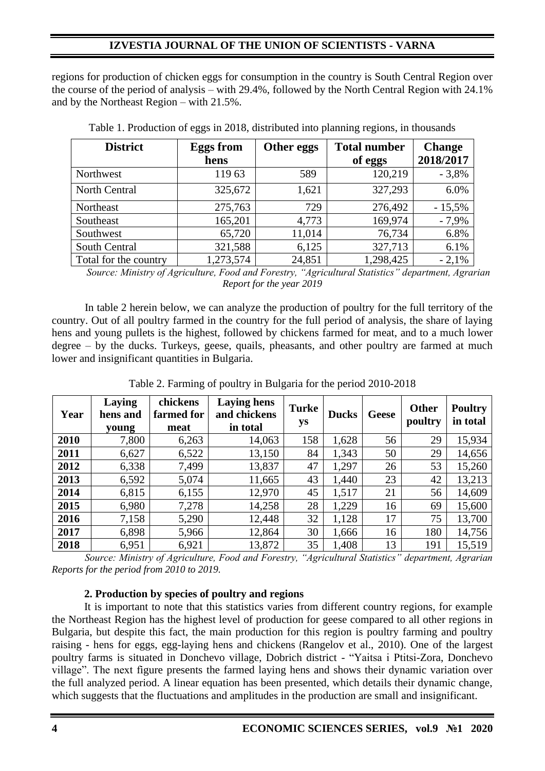## **IZVESTIA JOURNAL OF THE UNION OF SCIENTISTS - VARNA**

regions for production of chicken eggs for consumption in the country is South Central Region over the course of the period of analysis – with 29.4%, followed by the North Central Region with 24.1% and by the Northeast Region – with 21.5%.

| <b>District</b>       | <b>Eggs from</b> | Other eggs | <b>Total number</b> | <b>Change</b> |
|-----------------------|------------------|------------|---------------------|---------------|
|                       | hens             |            | of eggs             | 2018/2017     |
| Northwest             | 11963            | 589        | 120,219             | $-3,8%$       |
| <b>North Central</b>  | 325,672          | 1,621      | 327,293             | 6.0%          |
| Northeast             | 275,763          | 729        | 276,492             | $-15,5%$      |
| Southeast             | 165,201          | 4,773      | 169,974             | $-7,9%$       |
| Southwest             | 65,720           | 11,014     | 76,734              | 6.8%          |
| <b>South Central</b>  | 321,588          | 6,125      | 327,713             | 6.1%          |
| Total for the country | 1,273,574        | 24,851     | 1,298,425           | $-2,1%$       |

Table 1. Production of eggs in 2018, distributed into planning regions, in thousands

*Source: Ministry of Agriculture, Food and Forestry, "Agricultural Statistics" department, Agrarian Report for the year 2019*

In table 2 herein below, we can analyze the production of poultry for the full territory of the country. Out of all poultry farmed in the country for the full period of analysis, the share of laying hens and young pullets is the highest, followed by chickens farmed for meat, and to a much lower degree – by the ducks. Turkeys, geese, quails, pheasants, and other poultry are farmed at much lower and insignificant quantities in Bulgaria.

| Year | Laying<br>hens and<br>young | chickens<br>farmed for<br>meat | <b>Laying hens</b><br>and chickens<br>in total | <b>Turke</b><br>ys | <b>Ducks</b> | <b>Geese</b> | <b>Other</b><br>poultry | <b>Poultry</b><br>in total |
|------|-----------------------------|--------------------------------|------------------------------------------------|--------------------|--------------|--------------|-------------------------|----------------------------|
| 2010 | 7,800                       | 6,263                          | 14,063                                         | 158                | 1,628        | 56           | 29                      | 15,934                     |
| 2011 | 6,627                       | 6,522                          | 13,150                                         | 84                 | 1,343        | 50           | 29                      | 14,656                     |
| 2012 | 6,338                       | 7,499                          | 13,837                                         | 47                 | 1,297        | 26           | 53                      | 15,260                     |
| 2013 | 6,592                       | 5,074                          | 11,665                                         | 43                 | 1,440        | 23           | 42                      | 13,213                     |
| 2014 | 6,815                       | 6,155                          | 12,970                                         | 45                 | 1,517        | 21           | 56                      | 14,609                     |
| 2015 | 6,980                       | 7,278                          | 14,258                                         | 28                 | 1,229        | 16           | 69                      | 15,600                     |
| 2016 | 7,158                       | 5,290                          | 12,448                                         | 32                 | 1,128        | 17           | 75                      | 13,700                     |
| 2017 | 6,898                       | 5,966                          | 12,864                                         | 30                 | 1,666        | 16           | 180                     | 14,756                     |
| 2018 | 6,951                       | 6,921                          | 13,872                                         | 35                 | 1,408        | 13           | 191                     | 15,519                     |

Table 2. Farming of poultry in Bulgaria for the period 2010-2018

*Source: Ministry of Agriculture, Food and Forestry, "Agricultural Statistics" department, Agrarian Reports for the period from 2010 to 2019.*

#### **2. Production by species of poultry and regions**

It is important to note that this statistics varies from different country regions, for example the Northeast Region has the highest level of production for geese compared to all other regions in Bulgaria, but despite this fact, the main production for this region is poultry farming and poultry raising - hens for eggs, egg-laying hens and chickens (Rangelov et al., 2010). One of the largest poultry farms is situated in Donchevo village, Dobrich district - "Yaitsa i Ptitsi-Zora, Donchevo village". The next figure presents the farmed laying hens and shows their dynamic variation over the full analyzed period. A linear equation has been presented, which details their dynamic change, which suggests that the fluctuations and amplitudes in the production are small and insignificant.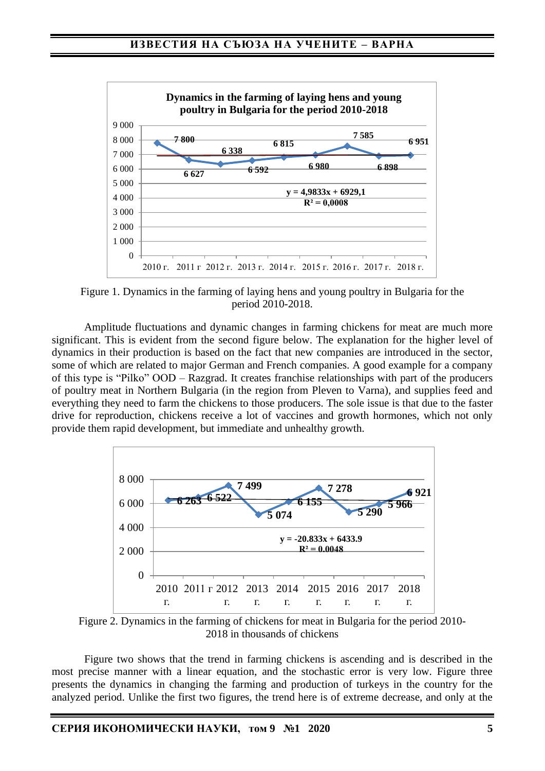

Figure 1. Dynamics in the farming of laying hens and young poultry in Bulgaria for the period 2010-2018.

Amplitude fluctuations and dynamic changes in farming chickens for meat are much more significant. This is evident from the second figure below. The explanation for the higher level of dynamics in their production is based on the fact that new companies are introduced in the sector, some of which are related to major German and French companies. A good example for a company of this type is "Pilko" OOD – Razgrad. It creates franchise relationships with part of the producers of poultry meat in Northern Bulgaria (in the region from Pleven to Varna), and supplies feed and everything they need to farm the chickens to those producers. The sole issue is that due to the faster drive for reproduction, chickens receive a lot of vaccines and growth hormones, which not only provide them rapid development, but immediate and unhealthy growth.



Figure 2. Dynamics in the farming of chickens for meat in Bulgaria for the period 2010- 2018 in thousands of chickens

Figure two shows that the trend in farming chickens is ascending and is described in the most precise manner with a linear equation, and the stochastic error is very low. Figure three presents the dynamics in changing the farming and production of turkeys in the country for the analyzed period. Unlike the first two figures, the trend here is of extreme decrease, and only at the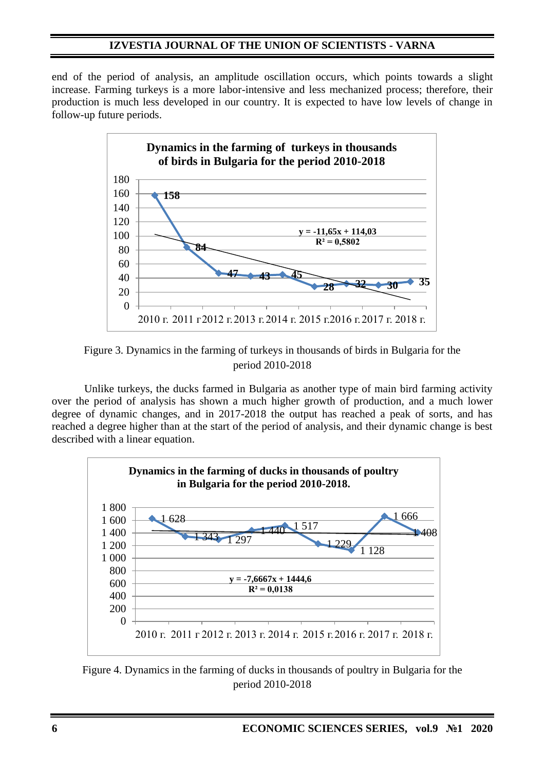## **IZVESTIA JOURNAL OF THE UNION OF SCIENTISTS - VARNA**

end of the period of analysis, an amplitude oscillation occurs, which points towards a slight increase. Farming turkeys is a more labor-intensive and less mechanized process; therefore, their production is much less developed in our country. It is expected to have low levels of change in follow-up future periods.



Figure 3. Dynamics in the farming of turkeys in thousands of birds in Bulgaria for the period 2010-2018

Unlike turkeys, the ducks farmed in Bulgaria as another type of main bird farming activity over the period of analysis has shown a much higher growth of production, and a much lower degree of dynamic changes, and in 2017-2018 the output has reached a peak of sorts, and has reached a degree higher than at the start of the period of analysis, and their dynamic change is best described with a linear equation.



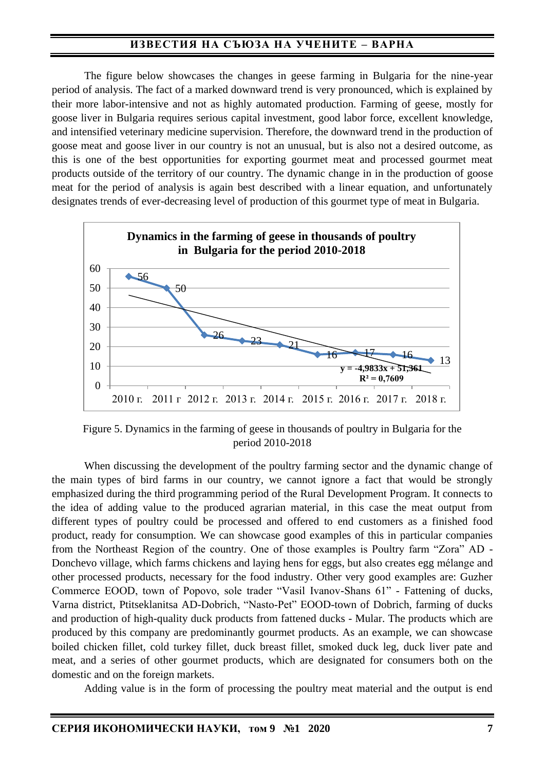## **ИЗВЕСТИЯ НА СЪЮЗА НА УЧЕНИТЕ – ВАРНА**

The figure below showcases the changes in geese farming in Bulgaria for the nine-year period of analysis. The fact of a marked downward trend is very pronounced, which is explained by their more labor-intensive and not as highly automated production. Farming of geese, mostly for goose liver in Bulgaria requires serious capital investment, good labor force, excellent knowledge, and intensified veterinary medicine supervision. Therefore, the downward trend in the production of goose meat and goose liver in our country is not an unusual, but is also not a desired outcome, as this is one of the best opportunities for exporting gourmet meat and processed gourmet meat products outside of the territory of our country. The dynamic change in in the production of goose meat for the period of analysis is again best described with a linear equation, and unfortunately designates trends of ever-decreasing level of production of this gourmet type of meat in Bulgaria.



Figure 5. Dynamics in the farming of geese in thousands of poultry in Bulgaria for the period 2010-2018

When discussing the development of the poultry farming sector and the dynamic change of the main types of bird farms in our country, we cannot ignore a fact that would be strongly emphasized during the third programming period of the Rural Development Program. It connects to the idea of adding value to the produced agrarian material, in this case the meat output from different types of poultry could be processed and offered to end customers as a finished food product, ready for consumption. We can showcase good examples of this in particular companies from the Northeast Region of the country. One of those examples is Poultry farm "Zora" AD - Donchevo village, which farms chickens and laying hens for eggs, but also creates egg mélange and other processed products, necessary for the food industry. Other very good examples are: Guzher Commerce EOOD, town of Popovo, sole trader "Vasil Ivanov-Shans 61" - Fattening of ducks, Varna district, Ptitseklanitsa AD-Dobrich, "Nasto-Pet" EOOD-town of Dobrich, farming of ducks and production of high-quality duck products from fattened ducks - Mular. The products which are produced by this company are predominantly gourmet products. As an example, we can showcase boiled chicken fillet, cold turkey fillet, duck breast fillet, smoked duck leg, duck liver pate and meat, and a series of other gourmet products, which are designated for consumers both on the domestic and on the foreign markets.

Adding value is in the form of processing the poultry meat material and the output is end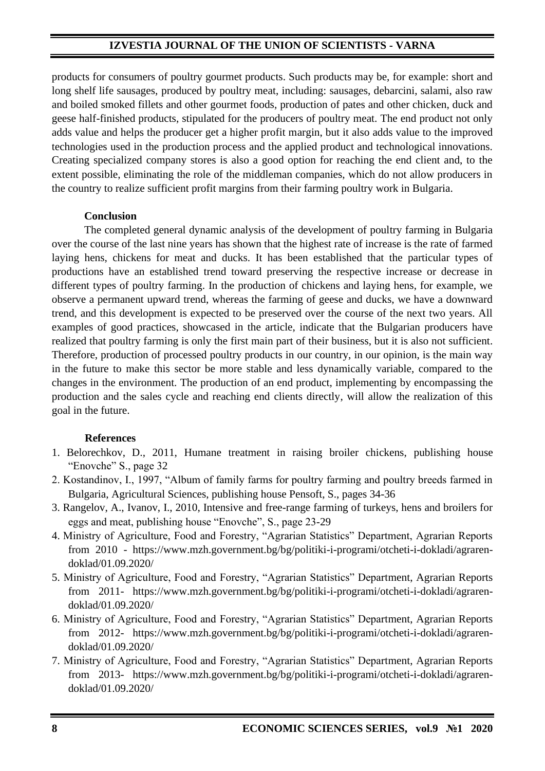## **IZVESTIA JOURNAL OF THE UNION OF SCIENTISTS - VARNA**

products for consumers of poultry gourmet products. Such products may be, for example: short and long shelf life sausages, produced by poultry meat, including: sausages, debarcini, salami, also raw and boiled smoked fillets and other gourmet foods, production of pates and other chicken, duck and geese half-finished products, stipulated for the producers of poultry meat. The end product not only adds value and helps the producer get a higher profit margin, but it also adds value to the improved technologies used in the production process and the applied product and technological innovations. Creating specialized company stores is also a good option for reaching the end client and, to the extent possible, eliminating the role of the middleman companies, which do not allow producers in the country to realize sufficient profit margins from their farming poultry work in Bulgaria.

### **Conclusion**

The completed general dynamic analysis of the development of poultry farming in Bulgaria over the course of the last nine years has shown that the highest rate of increase is the rate of farmed laying hens, chickens for meat and ducks. It has been established that the particular types of productions have an established trend toward preserving the respective increase or decrease in different types of poultry farming. In the production of chickens and laying hens, for example, we observe a permanent upward trend, whereas the farming of geese and ducks, we have a downward trend, and this development is expected to be preserved over the course of the next two years. All examples of good practices, showcased in the article, indicate that the Bulgarian producers have realized that poultry farming is only the first main part of their business, but it is also not sufficient. Therefore, production of processed poultry products in our country, in our opinion, is the main way in the future to make this sector be more stable and less dynamically variable, compared to the changes in the environment. The production of an end product, implementing by encompassing the production and the sales cycle and reaching end clients directly, will allow the realization of this goal in the future.

### **References**

- 1. Belorechkov, D., 2011, Humane treatment in raising broiler chickens, publishing house "Enovche" S., page 32
- 2. Kostandinov, I., 1997, "Album of family farms for poultry farming and poultry breeds farmed in Bulgaria, Agricultural Sciences, publishing house Pensoft, S., pages 34-36
- 3. Rangelov, A., Ivanov, I., 2010, Intensive and free-range farming of turkeys, hens and broilers for eggs and meat, publishing house "Enovche", S., page 23-29
- 4. Ministry of Agriculture, Food and Forestry, "Agrarian Statistics" Department, Agrarian Reports from 2010 - https://www.mzh.government.bg/bg/politiki-i-programi/otcheti-i-dokladi/agrarendoklad/01.09.2020/
- 5. Ministry of Agriculture, Food and Forestry, "Agrarian Statistics" Department, Agrarian Reports from 2011- https://www.mzh.government.bg/bg/politiki-i-programi/otcheti-i-dokladi/agrarendoklad/01.09.2020/
- 6. Ministry of Agriculture, Food and Forestry, "Agrarian Statistics" Department, Agrarian Reports from 2012- https://www.mzh.government.bg/bg/politiki-i-programi/otcheti-i-dokladi/agrarendoklad/01.09.2020/
- 7. Ministry of Agriculture, Food and Forestry, "Agrarian Statistics" Department, Agrarian Reports from 2013- https://www.mzh.government.bg/bg/politiki-i-programi/otcheti-i-dokladi/agrarendoklad/01.09.2020/